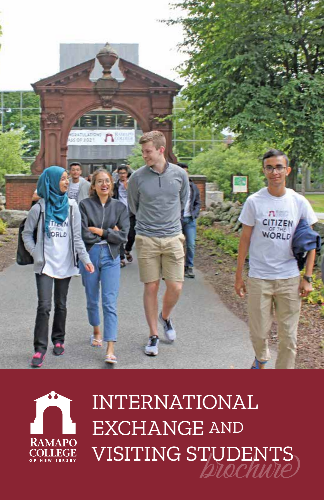



# INTERNATIONAL EXCHANGE AND VISITING STUDENTS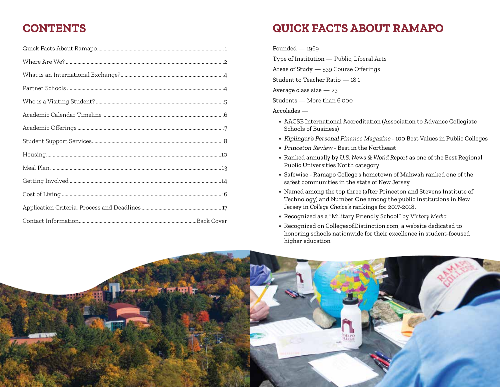### **CONTENTS QUICK FACTS ABOUT RAMAPO**

Founded — 1969

Type of Institution — Public, Liberal Arts

Areas of Study — 539 Course Offerings

Student to Teacher Ratio — 18:1

Average class size — 23

Students — More than 6,000

#### Accolades —

- » AACSB International Accreditation (Association to Advance Collegiate Schools of Business)
- » Kiplinger's Personal Finance Magazine 100 Best Values in Public Colleges
- » Princeton Review Best in the Northeast
- » Ranked annually by *U.S. News & World Report* as one of the Best Regional Public Universities North category
- » Safewise Ramapo College's hometown of Mahwah ranked one of the safest communities in the state of New Jersey
- » Named among the top three (after Princeton and Stevens Institute of Technology) and Number One among the public institutions in New Jersey in *College Choice's* rankings for 2017-2018.

» Recognized as a "Military Friendly School" by *Victory Media*

» Recognized on CollegesofDistinction.com, a website dedicated to honoring schools nationwide for their excellence in student-focused higher education

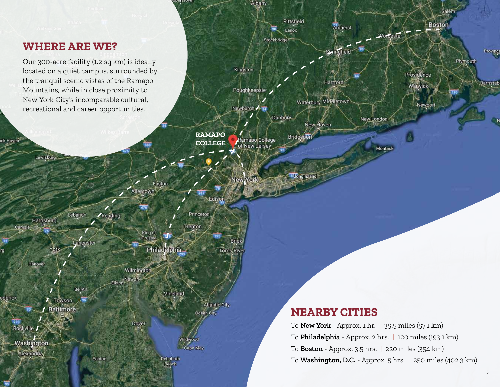### **WHERE ARE WE?**

ck Haven

Lewisburg

Harrisburg

Hanover

Rockville /

Washington

Alexandria

York

/ Towson

**Baltimore** 

Carlisle

ederick

Our 300-acre facility (1.2 sq km) is ideally located on a quiet campus, surrounded by the tranquil scenic vistas of the Ramapo Mountains, while in close proximity to New York City's incomparable cultural, recreational and career opportunities.

Lebanon

Lancaster

Bel Air

Easton

**/Reading** 

**RAMAPO COLLEGE**

Edison

**Atlantic City** 

Ocean City

Wildwood

 $\cdot$ Cape May

Toms River

Princeton

Trenton

Easton

Philadelphia

Vineland

Rehoboth Beach

Allentown

King of<br>Prussia

Wilmington

Dover

Elkton Newark

perstown

Albany

Kingston

Poughkeepsie

Newburgh 2 R4

Ramapo College

Pittsfield

Lenox

Stockbridge

Danbury

Amherst

Springfield

Hartford

Waterbury Middletown

New Haven

Bridgeport

<sup>41</sup>Long Island

Worcester

New London

Montauk

### **NEARBY CITIES**

To **New York** - Approx. 1 hr. | 35.5 miles (57.1 km) To **Philadelphia** - Approx. 2 hrs. | 120 miles (193.1 km) To **Boston** - Approx. 3.5 hrs. | 220 miles (354 km) To **Washington, D.C.** - Approx. 5 hrs. | 250 miles (402.3 km)

Salem

Province

Barnstab

Plymouth

**Boston** 

Providence

Warwick

Newport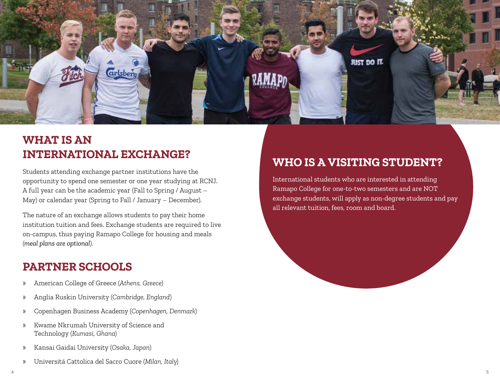

### **WHAT IS AN INTERNATIONAL EXCHANGE?**

Students attending exchange partner institutions have the opportunity to spend one semester or one year studying at RCNJ. A full year can be the academic year (Fall to Spring / August – May) or calendar year (Spring to Fall / January – December).

The nature of an exchange allows students to pay their home institution tuition and fees. Exchange students are required to live on-campus, thus paying Ramapo College for housing and meals (*meal plans are optional*).

### **PARTNER SCHOOLS**

- » American College of Greece (*Athens, Greece*)
- » Anglia Ruskin University (*Cambridge, England*)
- » Copenhagen Business Academy (*Copenhagen, Denmark*)
- » Kwame Nkrumah University of Science and Technology (*Kumasi, Ghana*)
- » Kansai Gaidai University (*Osaka, Japan*)
- » Universitá Cattolica del Sacro Cuore (*Milan, Italy*)

## **WHO IS A VISITING STUDENT?**

International students who are interested in attending Ramapo College for one-to-two semesters and are NOT exchange students, will apply as non-degree students and pay all relevant tuition, fees, room and board.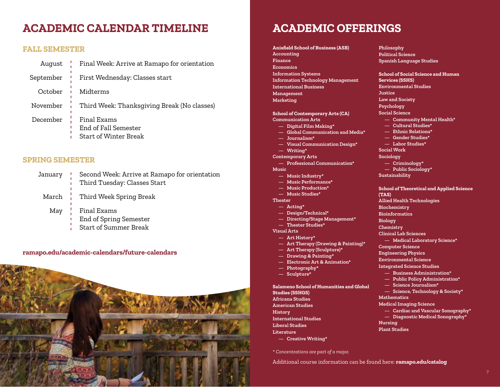### **ACADEMIC CALENDAR TIMELINE ACADEMIC OFFERINGS**

### **FALL SEMESTER**

| August   | $\frac{1}{2}$ Final Week: Arrive at Ramapo for orientation          |
|----------|---------------------------------------------------------------------|
|          | September   First Wednesday: Classes start                          |
| October  | <b>I</b> Midterms                                                   |
|          | November   Third Week: Thanksgiving Break (No classes)              |
| December | Final Exams<br>End of Fall Semester<br><b>Start of Winter Break</b> |

#### **SPRING SEMESTER**

| January   Second Week: Arrive at Ramapo for orientation<br>Third Tuesday: Classes Start |
|-----------------------------------------------------------------------------------------|
| March   Third Week Spring Break                                                         |
| May   Final Exams<br>End of Spring Semester<br><b>Start of Summer Break</b>             |

#### **ramapo.edu/academic-calendars/future-calendars**



**Anisfield School of Business (ASB) Accounting Finance Economics Information Systems Information Technology Management International Business Management Marketing**

**School of Contemporary Arts (CA) Communication Arts — Digital Film Making\* — Global Communication and Media\* — Journalism\* — Visual Communication Design\* — Writing\* Contemporary Arts**

**— Professional Communication\* Music**

- **— Music Industry\***
- **— Music Performance\***
- **— Music Production\***
- **— Music Studies\***
- **Theater**
	- **— Acting\***
- **— Design/Technical\***
- **— Directing/Stage Management\* — Theater Studies\***
- **Visual Arts**
- **— Art History\***
- **— Art Therapy (Drawing & Painting)\***
- **— Art Therapy (Sculpture)\***
- **— Drawing & Painting\***
- **— Electronic Art & Animation\***
- **— Photography\***
- **— Sculpture\***

#### **Salameno School of Humanities and Global Studies (SSHGS)**

**Africana Studies American Studies History International Studies Liberal Studies Literature**

**— Creative Writing\***

*\* Concentrations are part of a major.*

Additional course information can be found here: **ramapo.edu/catalog**

**Philosophy Political Science Spanish Language Studies**

**School of Social Science and Human Services (SSHS) Environmental Studies Justice Law and Society Psychology Social Science — Community Mental Health\* — Cultural Studies\* — Ethnic Relations\* — Gender Studies\* — Labor Studies\* Social Work Sociology — Criminology\* — Public Sociology\* Sustainability School of Theoretical and Applied Science (TAS) Allied Health Technologies Biochemistry Bioinformatics Biology Chemistry Clinical Lab Sciences — Medical Laboratory Science\* Computer Science Engineering Physics Environmental Science Integrated Science Studies — Business Administration\* — Public Policy Administration\* — Science Journalism\***

- **— Science, Technology & Society\***
- **Mathematics**
- **Medical Imaging Science**
	- **— Cardiac and Vascular Sonography\***
	- **— Diagnostic Medical Sonography\***
- **Nursing**
- **Plant Studies**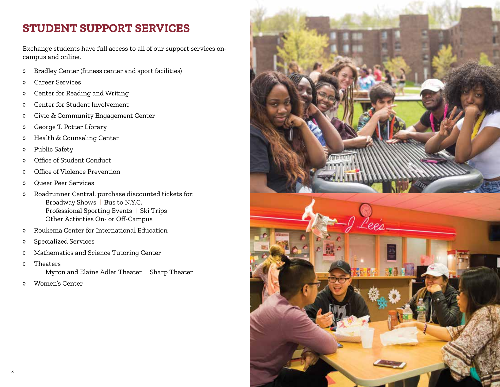### **STUDENT SUPPORT SERVICES**

Exchange students have full access to all of our support services oncampus and online.

- » Bradley Center (fitness center and sport facilities)
- » Career Services
- » Center for Reading and Writing
- » Center for Student Involvement
- » Civic & Community Engagement Center
- » George T. Potter Library
- » Health & Counseling Center
- » Public Safety
- » Office of Student Conduct
- » Office of Violence Prevention
- » Queer Peer Services
- » Roadrunner Central, purchase discounted tickets for: Broadway Shows | Bus to N.Y.C. Professional Sporting Events | Ski Trips Other Activities On- or Off-Campus
- » Roukema Center for International Education
- » Specialized Services
- » Mathematics and Science Tutoring Center
- » Theaters Myron and Elaine Adler Theater | Sharp Theater
- » Women's Center

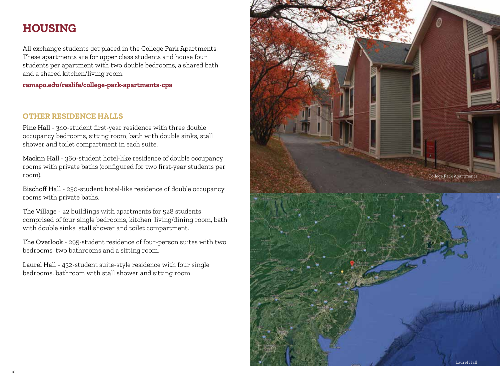### **HOUSING**

All exchange students get placed in the College Park Apartments. These apartments are for upper class students and house four students per apartment with two double bedrooms, a shared bath and a shared kitchen/living room.

**ramapo.edu/reslife/college-park-apartments-cpa**

### **OTHER RESIDENCE HALLS**

Pine Hall - 340-student first-year residence with three double occupancy bedrooms, sitting room, bath with double sinks, stall shower and toilet compartment in each suite.

Mackin Hall - 360-student hotel-like residence of double occupancy rooms with private baths (configured for two first-year students per room).

Bischoff Hall - 250-student hotel-like residence of double occupancy rooms with private baths.

The Village - 22 buildings with apartments for 528 students comprised of four single bedrooms, kitchen, living/dining room, bath with double sinks, stall shower and toilet compartment.

The Overlook - 295-student residence of four-person suites with two bedrooms, two bathrooms and a sitting room.

Laurel Hall - 432-student suite-style residence with four single bedrooms, bathroom with stall shower and sitting room.

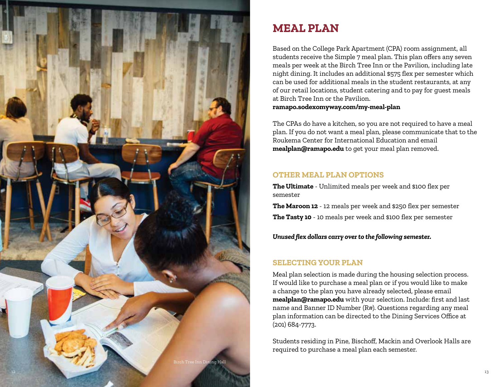

### **MEAL PLAN**

Based on the College Park Apartment (CPA) room assignment, all students receive the Simple 7 meal plan. This plan offers any seven meals per week at the Birch Tree Inn or the Pavilion, including late night dining. It includes an additional \$575 flex per semester which can be used for additional meals in the student restaurants, at any of our retail locations, student catering and to pay for guest meals at Birch Tree Inn or the Pavilion.

**ramapo.sodexomyway.com/my-meal-plan**

The CPAs do have a kitchen, so you are not required to have a meal plan. If you do not want a meal plan, please communicate that to the Roukema Center for International Education and email **mealplan@ramapo.edu** to get your meal plan removed.

### **OTHER MEAL PLAN OPTIONS**

**The Ultimate** - Unlimited meals per week and \$100 flex per semester

**The Maroon 12** - 12 meals per week and \$250 flex per semester **The Tasty 10** - 10 meals per week and \$100 flex per semester

*Unused flex dollars carry over to the following semester.*

### **SELECTING YOUR PLAN**

Meal plan selection is made during the housing selection process. If would like to purchase a meal plan or if you would like to make a change to the plan you have already selected, please email **mealplan@ramapo.edu** with your selection. Include: first and last name and Banner ID Number (R#). Questions regarding any meal plan information can be directed to the Dining Services Office at (201) 684-7773.

Students residing in Pine, Bischoff, Mackin and Overlook Halls are required to purchase a meal plan each semester.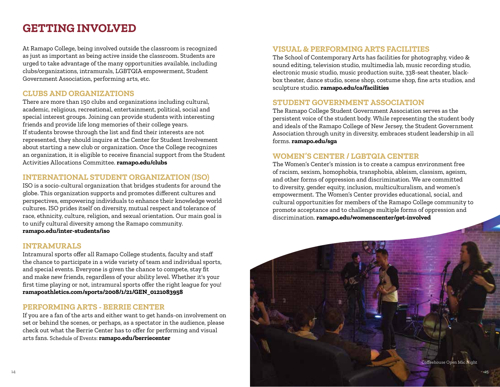### **GETTING INVOLVED**

At Ramapo College, being involved outside the classroom is recognized as just as important as being active inside the classroom. Students are urged to take advantage of the many opportunities available, including clubs/organizations, intramurals, LGBTQIA empowerment, Student Government Association, performing arts, etc.

### **CLUBS AND ORGANIZATIONS**

There are more than 150 clubs and organizations including cultural, academic, religious, recreational, entertainment, political, social and special interest groups. Joining can provide students with interesting friends and provide life long memories of their college years. If students browse through the list and find their interests are not represented, they should inquire at the Center for Student Involvement about starting a new club or organization. Once the College recognizes an organization, it is eligible to receive financial support from the Student Activities Allocations Committee. **ramapo.edu/clubs**

### **INTERNATIONAL STUDENT ORGANIZATION (ISO)**

ISO is a socio-cultural organization that bridges students for around the globe. This organization supports and promotes different cultures and perspectives, empowering individuals to enhance their knowledge world cultures. ISO prides itself on diversity, mutual respect and tolerance of race, ethnicity, culture, religion, and sexual orientation. Our main goal is to unify cultural diversity among the Ramapo community. **ramapo.edu/inter-students/iso**

### **INTRAMURALS**

Intramural sports offer all Ramapo College students, faculty and staff the chance to participate in a wide variety of team and individual sports, and special events. Everyone is given the chance to compete, stay fit and make new friends, regardless of your ability level. Whether it's your first time playing or not, intramural sports offer the right league for you! **ramapoathletics.com/sports/2008/1/21/GEN\_0121083958**

### **PERFORMING ARTS - BERRIE CENTER**

If you are a fan of the arts and either want to get hands-on involvement on set or behind the scenes, or perhaps, as a spectator in the audience, please check out what the Berrie Center has to offer for performing and visual arts fans. Schedule of Events: **ramapo.edu/berriecenter**

### **VISUAL & PERFORMING ARTS FACILITIES**

The School of Contemporary Arts has facilities for photography, video & sound editing, television studio, multimedia lab, music recording studio, electronic music studio, music production suite, 338-seat theater, blackbox theater, dance studio, scene shop, costume shop, fine arts studios, and sculpture studio. **ramapo.edu/ca/facilities**

### **STUDENT GOVERNMENT ASSOCIATION**

The Ramapo College Student Government Association serves as the persistent voice of the student body. While representing the student body and ideals of the Ramapo College of New Jersey, the Student Government Association through unity in diversity, embraces student leadership in all forms. **ramapo.edu/sga**

### **WOMEN'S CENTER / LGBTQIA CENTER**

The Women's Center's mission is to create a campus environment free of racism, sexism, homophobia, transphobia, ableism, classism, ageism, and other forms of oppression and discrimination. We are committed to diversity, gender equity, inclusion, multiculturalism, and women's empowerment. The Women's Center provides educational, social, and cultural opportunities for members of the Ramapo College community to promote acceptance and to challenge multiple forms of oppression and discrimination. **ramapo.edu/womenscenter/get-involved**

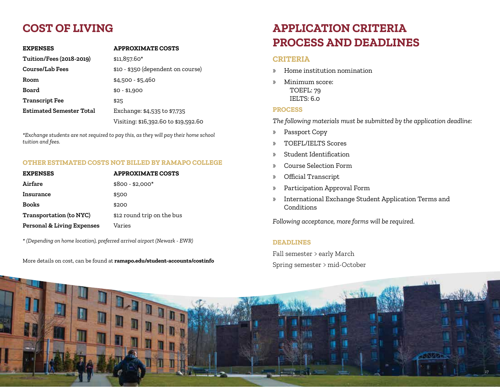## **COST OF LIVING**

| <b>EXPENSES</b>                 | <b>APPROXIMATE COSTS</b>             |
|---------------------------------|--------------------------------------|
| <b>Tuition/Fees (2018-2019)</b> | \$11,857.60*                         |
| Course/Lab Fees                 | \$10 - \$350 (dependent on course)   |
| Room                            | $$4,500 - $5,460$                    |
| Board                           | $$0 - $1,900$                        |
| <b>Transcript Fee</b>           | \$25                                 |
| Estimated Semester Total        | Exchange: \$4,535 to \$7,735         |
|                                 | Visiting: \$16,392.60 to \$19,592.60 |

*\*Exchange students are not required to pay this, as they will pay their home school tuition and fees.*

#### **OTHER ESTIMATED COSTS NOT BILLED BY RAMAPO COLLEGE**

| <b>EXPENSES</b>                       | <b>APPROXIMATE COSTS</b>   |
|---------------------------------------|----------------------------|
| Airfare                               | $$800 - $2.000*$           |
| Insurance                             | \$500                      |
| <b>Books</b>                          | \$200                      |
| <b>Transportation (to NYC)</b>        | \$12 round trip on the bus |
| <b>Personal &amp; Living Expenses</b> | Varies                     |

*\* (Depending on home location), preferred arrival airport (Newark - EWR)*

More details on cost, can be found at **ramapo.edu/student-accounts/costinfo**

## **APPLICATION CRITERIA PROCESS AND DEADLINES**

#### **CRITERIA**

- » Home institution nomination
- » Minimum score: TOEFL: 79 IELTS: 6.0

#### **PROCESS**

*The following materials must be submitted by the application deadline:*

- » Passport Copy
- » TOEFL/IELTS Scores
- » Student Identification
- » Course Selection Form
- » Official Transcript
- » Participation Approval Form
- » International Exchange Student Application Terms and Conditions

*Following acceptance, more forms will be required.*

#### **DEADLINES**

Fall semester > early March Spring semester > mid-October